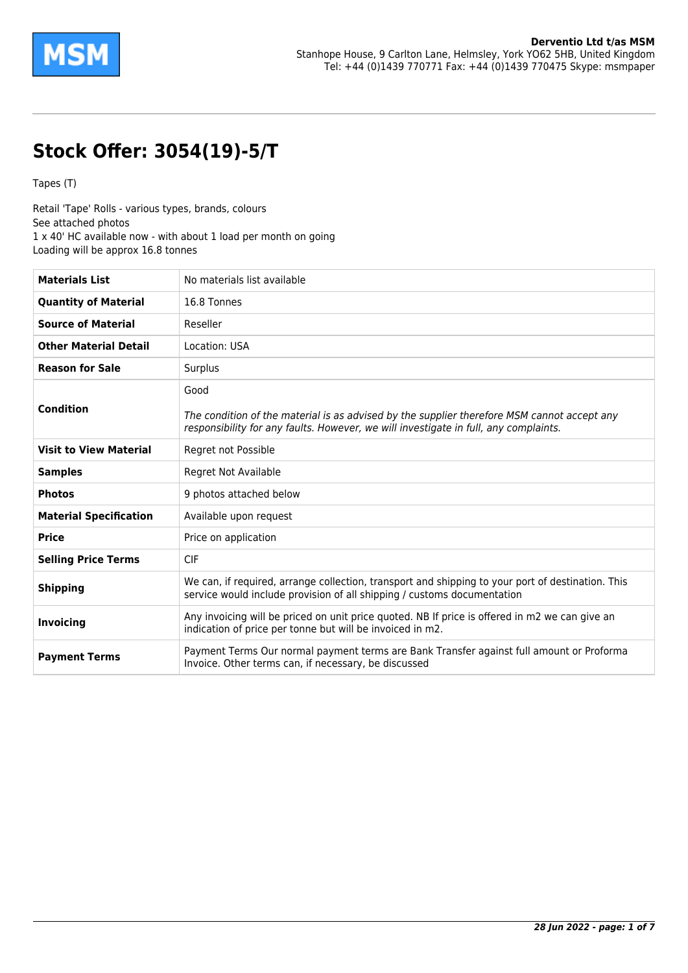

## **Stock Offer: 3054(19)-5/T**

Tapes (T)

Retail 'Tape' Rolls - various types, brands, colours See attached photos 1 x 40' HC available now - with about 1 load per month on going Loading will be approx 16.8 tonnes

| <b>Materials List</b>         | No materials list available                                                                                                                                                                 |
|-------------------------------|---------------------------------------------------------------------------------------------------------------------------------------------------------------------------------------------|
| <b>Quantity of Material</b>   | 16.8 Tonnes                                                                                                                                                                                 |
| <b>Source of Material</b>     | Reseller                                                                                                                                                                                    |
| <b>Other Material Detail</b>  | Location: USA                                                                                                                                                                               |
| <b>Reason for Sale</b>        | Surplus                                                                                                                                                                                     |
| Condition                     | Good<br>The condition of the material is as advised by the supplier therefore MSM cannot accept any<br>responsibility for any faults. However, we will investigate in full, any complaints. |
| <b>Visit to View Material</b> | Regret not Possible                                                                                                                                                                         |
| <b>Samples</b>                | Regret Not Available                                                                                                                                                                        |
| <b>Photos</b>                 | 9 photos attached below                                                                                                                                                                     |
| <b>Material Specification</b> | Available upon request                                                                                                                                                                      |
| <b>Price</b>                  | Price on application                                                                                                                                                                        |
| <b>Selling Price Terms</b>    | <b>CIF</b>                                                                                                                                                                                  |
| <b>Shipping</b>               | We can, if required, arrange collection, transport and shipping to your port of destination. This<br>service would include provision of all shipping / customs documentation                |
| <b>Invoicing</b>              | Any invoicing will be priced on unit price quoted. NB If price is offered in m2 we can give an<br>indication of price per tonne but will be invoiced in m2.                                 |
| <b>Payment Terms</b>          | Payment Terms Our normal payment terms are Bank Transfer against full amount or Proforma<br>Invoice. Other terms can, if necessary, be discussed                                            |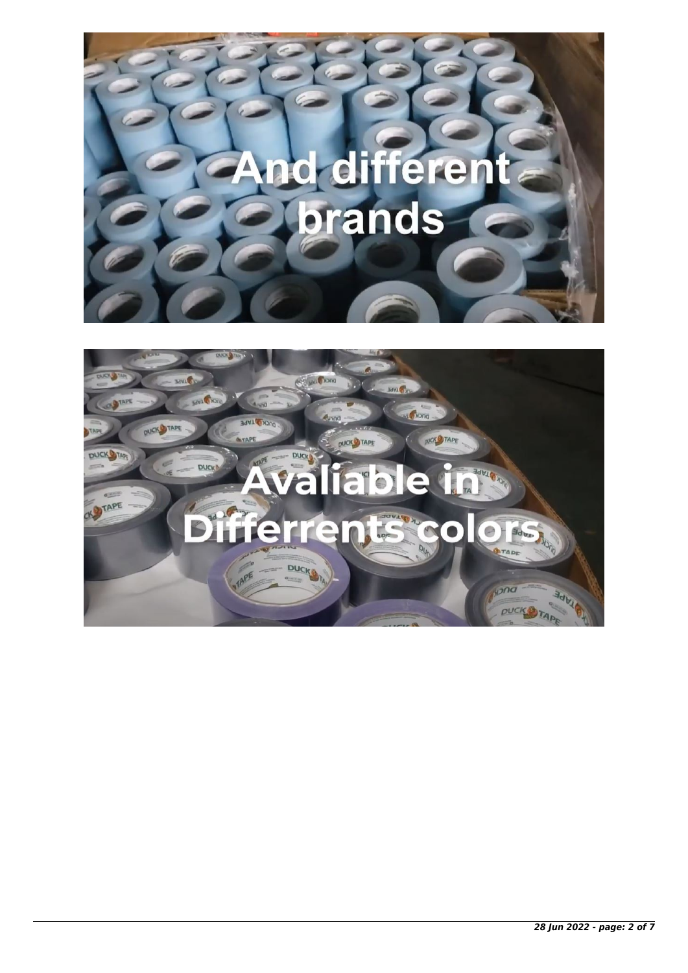

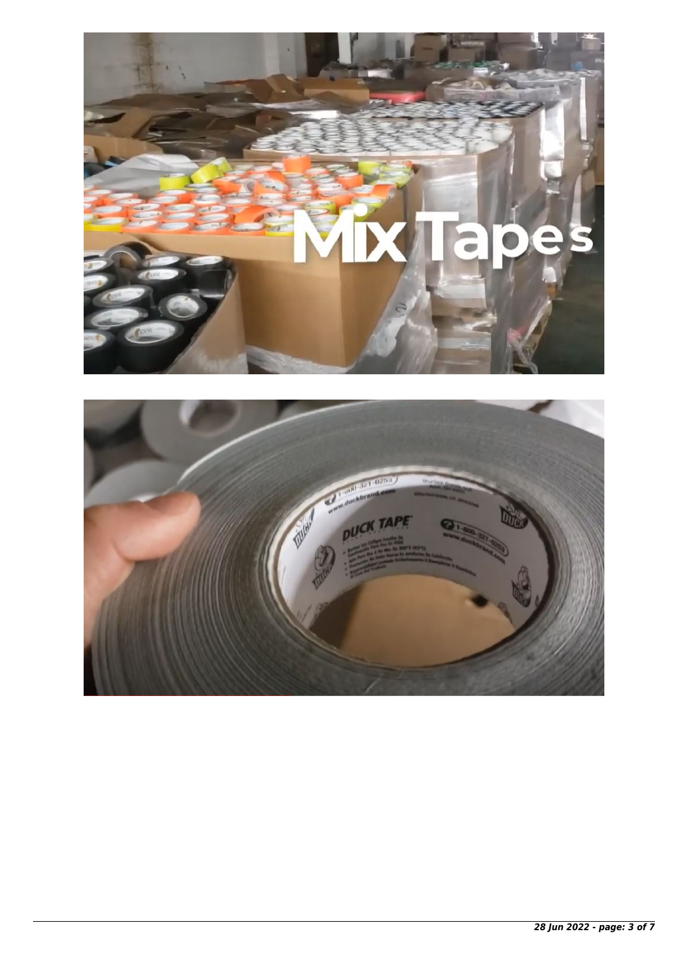

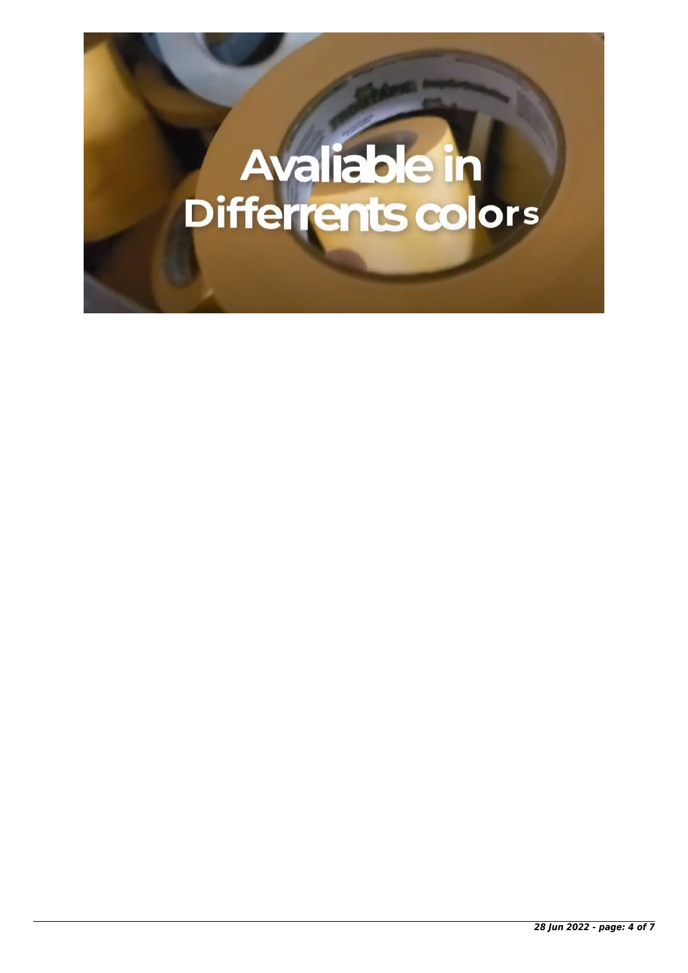## Avaliable in<br>Differrents colors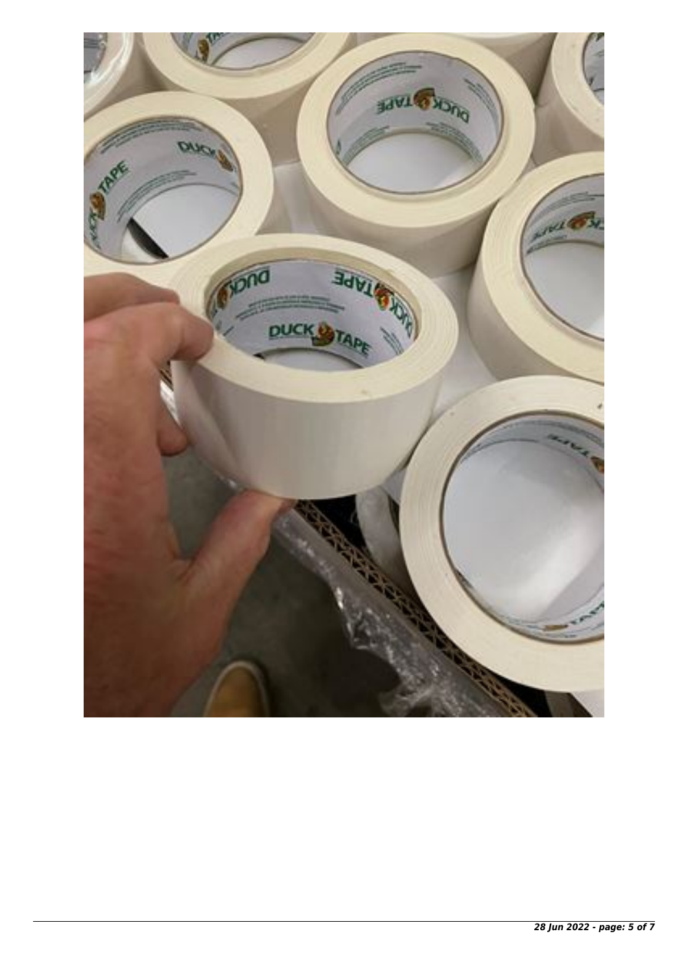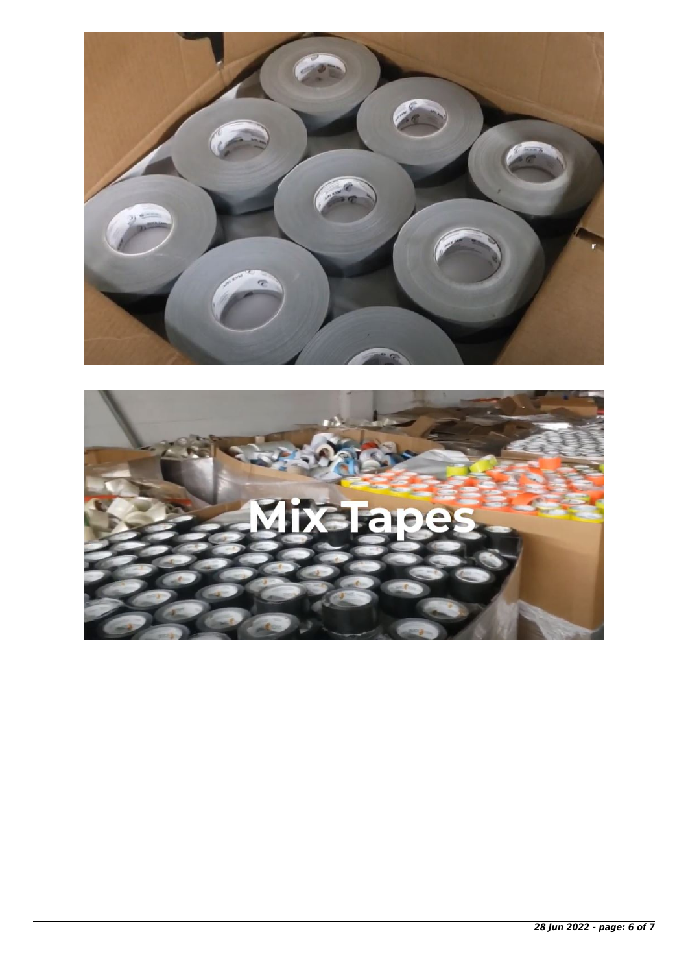